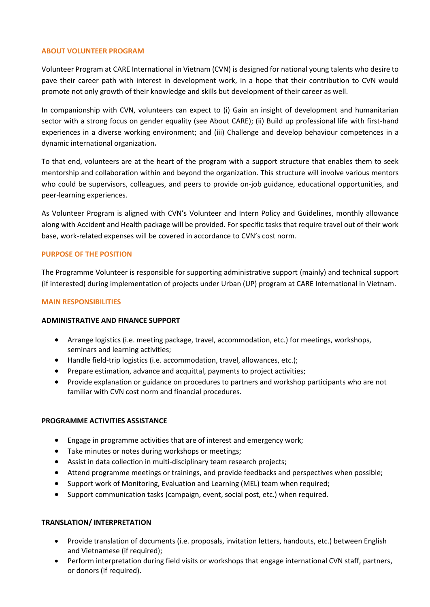## **ABOUT VOLUNTEER PROGRAM**

Volunteer Program at CARE International in Vietnam (CVN) is designed for national young talents who desire to pave their career path with interest in development work, in a hope that their contribution to CVN would promote not only growth of their knowledge and skills but development of their career as well.

In companionship with CVN, volunteers can expect to (i) Gain an insight of development and humanitarian sector with a strong focus on gender equality (see About CARE); (ii) Build up professional life with first-hand experiences in a diverse working environment; and (iii) Challenge and develop behaviour competences in a dynamic international organization*.*

To that end, volunteers are at the heart of the program with a support structure that enables them to seek mentorship and collaboration within and beyond the organization. This structure will involve various mentors who could be supervisors, colleagues, and peers to provide on-job guidance, educational opportunities, and peer-learning experiences.

As Volunteer Program is aligned with CVN's Volunteer and Intern Policy and Guidelines, monthly allowance along with Accident and Health package will be provided. For specific tasks that require travel out of their work base, work-related expenses will be covered in accordance to CVN's cost norm.

## **PURPOSE OF THE POSITION**

The Programme Volunteer is responsible for supporting administrative support (mainly) and technical support (if interested) during implementation of projects under Urban (UP) program at CARE International in Vietnam.

#### **MAIN RESPONSIBILITIES**

#### **ADMINISTRATIVE AND FINANCE SUPPORT**

- Arrange logistics (i.e. meeting package, travel, accommodation, etc.) for meetings, workshops, seminars and learning activities;
- Handle field-trip logistics (i.e. accommodation, travel, allowances, etc.);
- Prepare estimation, advance and acquittal, payments to project activities;
- Provide explanation or guidance on procedures to partners and workshop participants who are not familiar with CVN cost norm and financial procedures.

## **PROGRAMME ACTIVITIES ASSISTANCE**

- Engage in programme activities that are of interest and emergency work;
- Take minutes or notes during workshops or meetings;
- Assist in data collection in multi-disciplinary team research projects;
- Attend programme meetings or trainings, and provide feedbacks and perspectives when possible;
- Support work of Monitoring, Evaluation and Learning (MEL) team when required;
- Support communication tasks (campaign, event, social post, etc.) when required.

## **TRANSLATION/ INTERPRETATION**

- Provide translation of documents (i.e. proposals, invitation letters, handouts, etc.) between English and Vietnamese (if required);
- Perform interpretation during field visits or workshops that engage international CVN staff, partners, or donors (if required).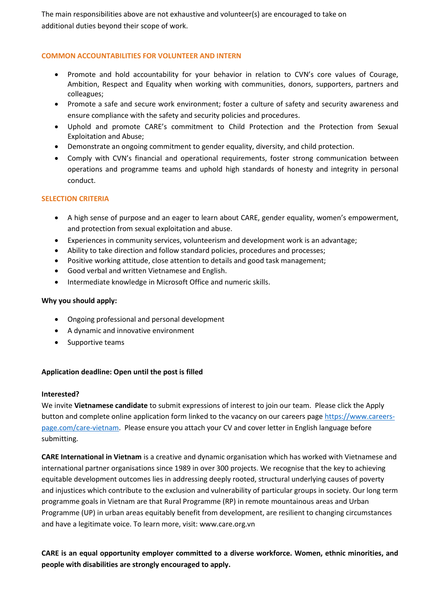The main responsibilities above are not exhaustive and volunteer(s) are encouraged to take on additional duties beyond their scope of work.

## **COMMON ACCOUNTABILITIES FOR VOLUNTEER AND INTERN**

- Promote and hold accountability for your behavior in relation to CVN's core values of Courage, Ambition, Respect and Equality when working with communities, donors, supporters, partners and colleagues;
- Promote a safe and secure work environment; foster a culture of safety and security awareness and ensure compliance with the safety and security policies and procedures.
- Uphold and promote CARE's commitment to Child Protection and the Protection from Sexual Exploitation and Abuse;
- Demonstrate an ongoing commitment to gender equality, diversity, and child protection.
- Comply with CVN's financial and operational requirements, foster strong communication between operations and programme teams and uphold high standards of honesty and integrity in personal conduct.

## **SELECTION CRITERIA**

- A high sense of purpose and an eager to learn about CARE, gender equality, women's empowerment, and protection from sexual exploitation and abuse.
- Experiences in community services, volunteerism and development work is an advantage;
- Ability to take direction and follow standard policies, procedures and processes;
- Positive working attitude, close attention to details and good task management;
- Good verbal and written Vietnamese and English.
- Intermediate knowledge in Microsoft Office and numeric skills.

## **Why you should apply:**

- Ongoing professional and personal development
- A dynamic and innovative environment
- Supportive teams

# **Application deadline: Open until the post is filled**

## **Interested?**

We invite **Vietnamese candidate** to submit expressions of interest to join our team. Please click the Apply button and complete online application form linked to the vacancy on our careers page [https://www.careers](https://www.careers-page.com/care-vietnam)[page.com/care-vietnam.](https://www.careers-page.com/care-vietnam) Please ensure you attach your CV and cover letter in English language before submitting.

**CARE International in Vietnam** is a creative and dynamic organisation which has worked with Vietnamese and international partner organisations since 1989 in over 300 projects. We recognise that the key to achieving equitable development outcomes lies in addressing deeply rooted, structural underlying causes of poverty and injustices which contribute to the exclusion and vulnerability of particular groups in society. Our long term programme goals in Vietnam are that Rural Programme (RP) in remote mountainous areas and Urban Programme (UP) in urban areas equitably benefit from development, are resilient to changing circumstances and have a legitimate voice. To learn more, visit[: www.care.org.vn](http://www.care.org.vn/)

**CARE is an equal opportunity employer committed to a diverse workforce. Women, ethnic minorities, and people with disabilities are strongly encouraged to apply.**